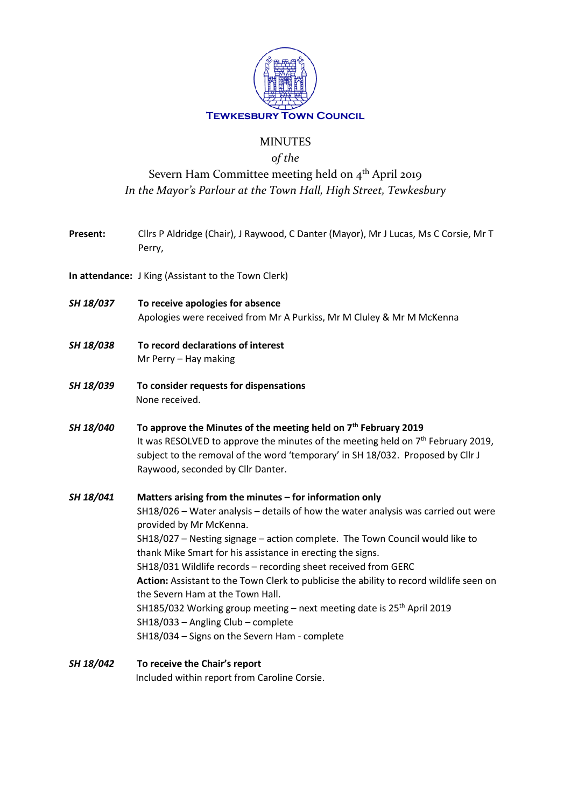

## MINUTES

### *of the*

# Severn Ham Committee meeting held on 4<sup>th</sup> April 2019 *In the Mayor's Parlour at the Town Hall, High Street, Tewkesbury*

- **Present:** Cllrs P Aldridge (Chair), J Raywood, C Danter (Mayor), Mr J Lucas, Ms C Corsie, Mr T Perry,
- **In attendance:** J King (Assistant to the Town Clerk)
- *SH 18/037* **To receive apologies for absence** Apologies were received from Mr A Purkiss, Mr M Cluley & Mr M McKenna
- *SH 18/038* **To record declarations of interest** Mr Perry – Hay making
- *SH 18/039* **To consider requests for dispensations** None received.
- *SH 18/040* **To approve the Minutes of the meeting held on 7th February 2019** It was RESOLVED to approve the minutes of the meeting held on  $7<sup>th</sup>$  February 2019, subject to the removal of the word 'temporary' in SH 18/032. Proposed by Cllr J Raywood, seconded by Cllr Danter.

*SH 18/041* **Matters arising from the minutes – for information only** SH18/026 – Water analysis – details of how the water analysis was carried out were provided by Mr McKenna. SH18/027 – Nesting signage – action complete. The Town Council would like to thank Mike Smart for his assistance in erecting the signs. SH18/031 Wildlife records – recording sheet received from GERC **Action:** Assistant to the Town Clerk to publicise the ability to record wildlife seen on the Severn Ham at the Town Hall. SH185/032 Working group meeting  $-$  next meeting date is 25<sup>th</sup> April 2019 SH18/033 – Angling Club – complete SH18/034 – Signs on the Severn Ham - complete

*SH 18/042* **To receive the Chair's report** Included within report from Caroline Corsie.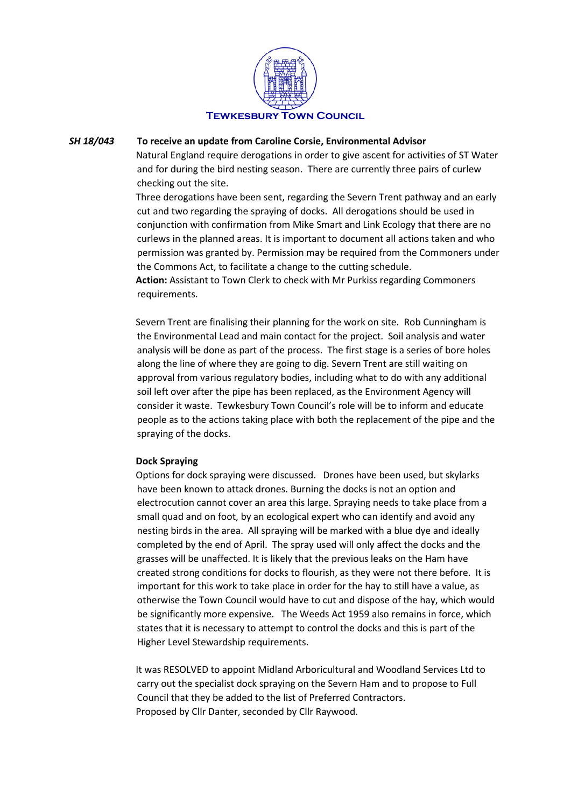

#### *SH 18/043* **To receive an update from Caroline Corsie, Environmental Advisor**

Natural England require derogations in order to give ascent for activities of ST Water and for during the bird nesting season. There are currently three pairs of curlew checking out the site.

Three derogations have been sent, regarding the Severn Trent pathway and an early cut and two regarding the spraying of docks. All derogations should be used in conjunction with confirmation from Mike Smart and Link Ecology that there are no curlews in the planned areas. It is important to document all actions taken and who permission was granted by. Permission may be required from the Commoners under the Commons Act, to facilitate a change to the cutting schedule.

**Action:** Assistant to Town Clerk to check with Mr Purkiss regarding Commoners requirements.

Severn Trent are finalising their planning for the work on site. Rob Cunningham is the Environmental Lead and main contact for the project. Soil analysis and water analysis will be done as part of the process. The first stage is a series of bore holes along the line of where they are going to dig. Severn Trent are still waiting on approval from various regulatory bodies, including what to do with any additional soil left over after the pipe has been replaced, as the Environment Agency will consider it waste. Tewkesbury Town Council's role will be to inform and educate people as to the actions taking place with both the replacement of the pipe and the spraying of the docks.

#### **Dock Spraying**

Options for dock spraying were discussed. Drones have been used, but skylarks have been known to attack drones. Burning the docks is not an option and electrocution cannot cover an area this large. Spraying needs to take place from a small quad and on foot, by an ecological expert who can identify and avoid any nesting birds in the area. All spraying will be marked with a blue dye and ideally completed by the end of April. The spray used will only affect the docks and the grasses will be unaffected. It is likely that the previous leaks on the Ham have created strong conditions for docks to flourish, as they were not there before. It is important for this work to take place in order for the hay to still have a value, as otherwise the Town Council would have to cut and dispose of the hay, which would be significantly more expensive. The Weeds Act 1959 also remains in force, which states that it is necessary to attempt to control the docks and this is part of the Higher Level Stewardship requirements.

It was RESOLVED to appoint Midland Arboricultural and Woodland Services Ltd to carry out the specialist dock spraying on the Severn Ham and to propose to Full Council that they be added to the list of Preferred Contractors. Proposed by Cllr Danter, seconded by Cllr Raywood.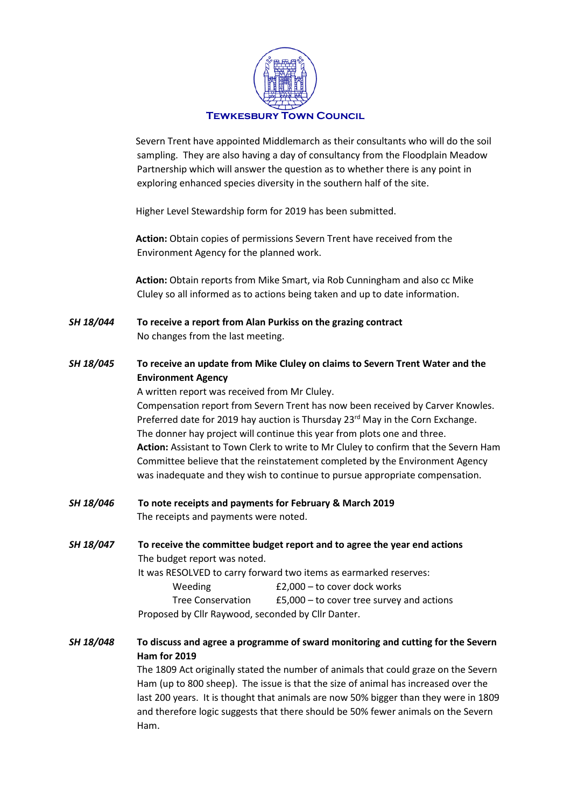

Severn Trent have appointed Middlemarch as their consultants who will do the soil sampling. They are also having a day of consultancy from the Floodplain Meadow Partnership which will answer the question as to whether there is any point in exploring enhanced species diversity in the southern half of the site.

Higher Level Stewardship form for 2019 has been submitted.

**Action:** Obtain copies of permissions Severn Trent have received from the Environment Agency for the planned work.

**Action:** Obtain reports from Mike Smart, via Rob Cunningham and also cc Mike Cluley so all informed as to actions being taken and up to date information.

- *SH 18/044* **To receive a report from Alan Purkiss on the grazing contract** No changes from the last meeting.
- *SH 18/045* **To receive an update from Mike Cluley on claims to Severn Trent Water and the Environment Agency**

A written report was received from Mr Cluley. Compensation report from Severn Trent has now been received by Carver Knowles. Preferred date for 2019 hay auction is Thursday 23<sup>rd</sup> May in the Corn Exchange. The donner hay project will continue this year from plots one and three. **Action:** Assistant to Town Clerk to write to Mr Cluley to confirm that the Severn Ham Committee believe that the reinstatement completed by the Environment Agency was inadequate and they wish to continue to pursue appropriate compensation.

- *SH 18/046* **To note receipts and payments for February & March 2019** The receipts and payments were noted.
- *SH 18/047* **To receive the committee budget report and to agree the year end actions** The budget report was noted. It was RESOLVED to carry forward two items as earmarked reserves: Weeding **E2,000** – to cover dock works Tree Conservation £5,000 – to cover tree survey and actions Proposed by Cllr Raywood, seconded by Cllr Danter.
- *SH 18/048* **To discuss and agree a programme of sward monitoring and cutting for the Severn Ham for 2019** The 1809 Act originally stated the number of animals that could graze on the Severn Ham (up to 800 sheep). The issue is that the size of animal has increased over the last 200 years. It is thought that animals are now 50% bigger than they were in 1809 and therefore logic suggests that there should be 50% fewer animals on the Severn

Ham.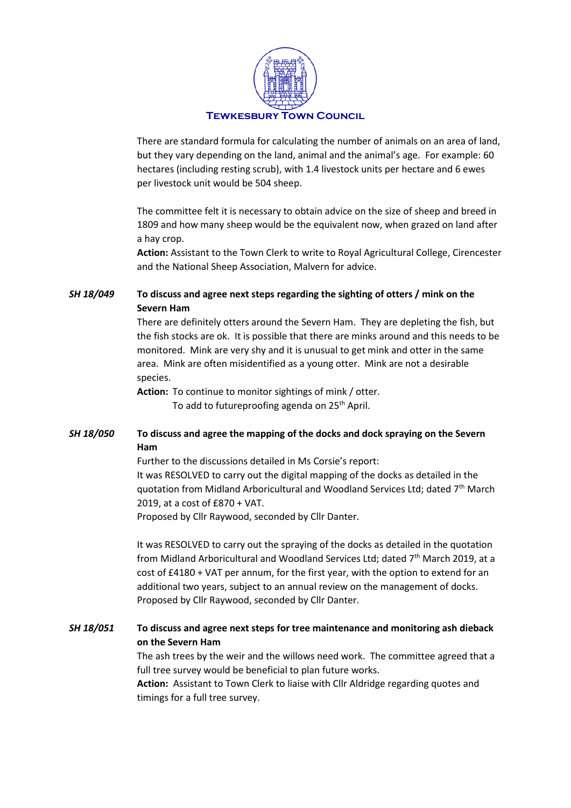

There are standard formula for calculating the number of animals on an area of land, but they vary depending on the land, animal and the animal's age. For example: 60 hectares (including resting scrub), with 1.4 livestock units per hectare and 6 ewes per livestock unit would be 504 sheep.

The committee felt it is necessary to obtain advice on the size of sheep and breed in 1809 and how many sheep would be the equivalent now, when grazed on land after a hay crop.

**Action:** Assistant to the Town Clerk to write to Royal Agricultural College, Cirencester and the National Sheep Association, Malvern for advice.

*SH 18/049* **To discuss and agree next steps regarding the sighting of otters / mink on the Severn Ham**

> There are definitely otters around the Severn Ham. They are depleting the fish, but the fish stocks are ok. It is possible that there are minks around and this needs to be monitored. Mink are very shy and it is unusual to get mink and otter in the same area. Mink are often misidentified as a young otter. Mink are not a desirable species.

**Action:** To continue to monitor sightings of mink / otter.

To add to futureproofing agenda on 25<sup>th</sup> April.

#### *SH 18/050* **To discuss and agree the mapping of the docks and dock spraying on the Severn Ham**

Further to the discussions detailed in Ms Corsie's report: It was RESOLVED to carry out the digital mapping of the docks as detailed in the quotation from Midland Arboricultural and Woodland Services Ltd; dated 7<sup>th</sup> March 2019, at a cost of £870 + VAT.

Proposed by Cllr Raywood, seconded by Cllr Danter.

It was RESOLVED to carry out the spraying of the docks as detailed in the quotation from Midland Arboricultural and Woodland Services Ltd; dated 7<sup>th</sup> March 2019, at a cost of £4180 + VAT per annum, for the first year, with the option to extend for an additional two years, subject to an annual review on the management of docks. Proposed by Cllr Raywood, seconded by Cllr Danter.

*SH 18/051* **To discuss and agree next steps for tree maintenance and monitoring ash dieback on the Severn Ham**

> The ash trees by the weir and the willows need work. The committee agreed that a full tree survey would be beneficial to plan future works.

**Action:** Assistant to Town Clerk to liaise with Cllr Aldridge regarding quotes and timings for a full tree survey.